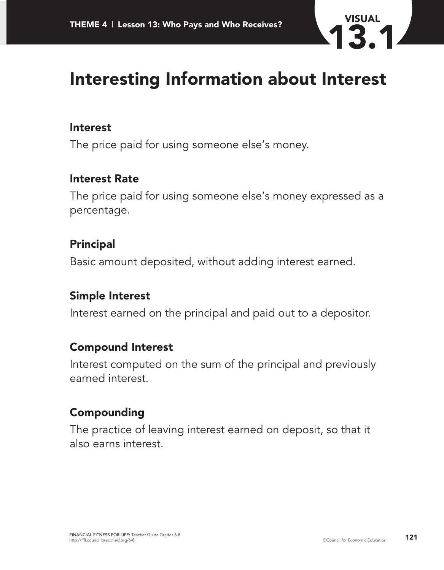

## **Interesting Information about Interest**

#### **Interest**

The price paid for using someone else's money.

#### **Interest Rate**

The price paid for using someone else's money expressed as a percentage.

### **Principal**

Basic amount deposited, without adding interest earned.

### **Simple Interest**

Interest earned on the principal and paid out to a depositor.

### **Compound Interest**

Interest computed on the sum of the principal and previously earned interest.

### **Compounding**

The practice of leaving interest earned on deposit, so that it also earns interest.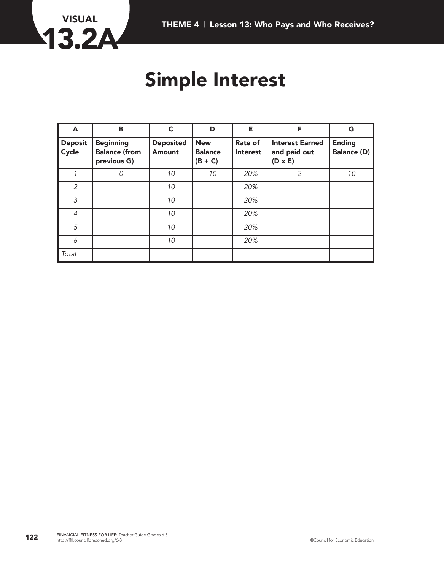

## **Simple Interest**

| A                       | B                                                       | $\mathsf{C}$               | D                                         | Е.                                | F                                                        | G                            |
|-------------------------|---------------------------------------------------------|----------------------------|-------------------------------------------|-----------------------------------|----------------------------------------------------------|------------------------------|
| <b>Deposit</b><br>Cycle | <b>Beginning</b><br><b>Balance (from</b><br>previous G) | <b>Deposited</b><br>Amount | <b>New</b><br><b>Balance</b><br>$(B + C)$ | <b>Rate of</b><br><b>Interest</b> | <b>Interest Earned</b><br>and paid out<br>$(D \times E)$ | <b>Ending</b><br>Balance (D) |
|                         | 0                                                       | 10                         | 10                                        | 20%                               | 2                                                        | 10                           |
| $\overline{2}$          |                                                         | 10                         |                                           | 20%                               |                                                          |                              |
| 3                       |                                                         | 10                         |                                           | 20%                               |                                                          |                              |
| 4                       |                                                         | 10                         |                                           | 20%                               |                                                          |                              |
| 5                       |                                                         | 10                         |                                           | 20%                               |                                                          |                              |
| 6                       |                                                         | 10                         |                                           | 20%                               |                                                          |                              |
| Total                   |                                                         |                            |                                           |                                   |                                                          |                              |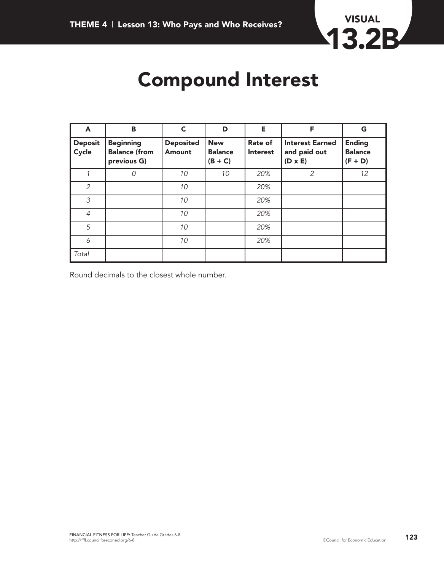

# **Compound Interest**

| A                       | B                                                       | C                          | D                                         | Е                                 | F                                                        | G                                            |
|-------------------------|---------------------------------------------------------|----------------------------|-------------------------------------------|-----------------------------------|----------------------------------------------------------|----------------------------------------------|
| <b>Deposit</b><br>Cycle | <b>Beginning</b><br><b>Balance (from</b><br>previous G) | <b>Deposited</b><br>Amount | <b>New</b><br><b>Balance</b><br>$(B + C)$ | <b>Rate of</b><br><b>Interest</b> | <b>Interest Earned</b><br>and paid out<br>$(D \times E)$ | <b>Ending</b><br><b>Balance</b><br>$(F + D)$ |
|                         | 0                                                       | 10                         | 10                                        | 20%                               | 2                                                        | 12                                           |
| $\overline{2}$          |                                                         | 10                         |                                           | 20%                               |                                                          |                                              |
| 3                       |                                                         | 10                         |                                           | 20%                               |                                                          |                                              |
| $\overline{4}$          |                                                         | 10                         |                                           | 20%                               |                                                          |                                              |
| 5                       |                                                         | 10                         |                                           | 20%                               |                                                          |                                              |
| 6                       |                                                         | 10                         |                                           | 20%                               |                                                          |                                              |
| Total                   |                                                         |                            |                                           |                                   |                                                          |                                              |

Round decimals to the closest whole number.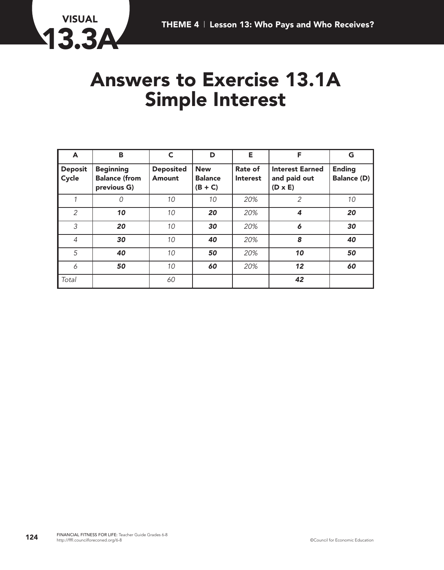

### **Answers to Exercise 13.1A Simple Interest**

| A                       | B                                                       | C                                 | D                                         | Е                          | F                                                        | G                                   |
|-------------------------|---------------------------------------------------------|-----------------------------------|-------------------------------------------|----------------------------|----------------------------------------------------------|-------------------------------------|
| <b>Deposit</b><br>Cycle | <b>Beginning</b><br><b>Balance (from</b><br>previous G) | <b>Deposited</b><br><b>Amount</b> | <b>New</b><br><b>Balance</b><br>$(B + C)$ | Rate of<br><b>Interest</b> | <b>Interest Earned</b><br>and paid out<br>$(D \times E)$ | <b>Ending</b><br><b>Balance (D)</b> |
|                         | 0                                                       | 10                                | 10                                        | 20%                        | 2                                                        | 10                                  |
| $\overline{2}$          | 10                                                      | 10                                | 20                                        | 20%                        | 4                                                        | 20                                  |
| 3                       | 20                                                      | 10                                | 30                                        | 20%                        | 6                                                        | 30                                  |
| $\overline{4}$          | 30                                                      | 10                                | 40                                        | 20%                        | 8                                                        | 40                                  |
| 5                       | 40                                                      | 10                                | 50                                        | 20%                        | 10                                                       | 50                                  |
| 6                       | 50                                                      | 10                                | 60                                        | 20%                        | 12                                                       | 60                                  |
| Total                   |                                                         | 60                                |                                           |                            | 42                                                       |                                     |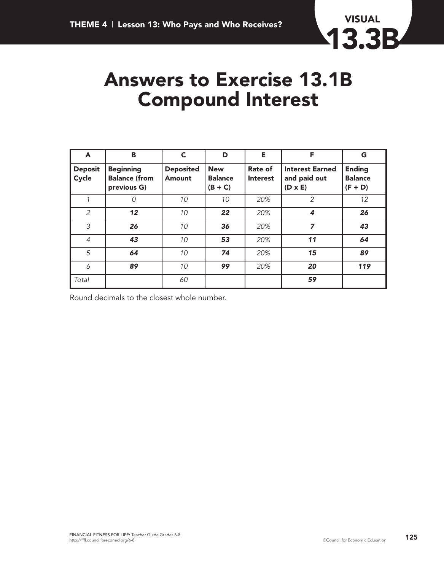

## **Answers to Exercise 13.1B Compound Interest**

| A                       | в                                                       | C                          | D                                         | Е                          | F                                                        | G                                            |
|-------------------------|---------------------------------------------------------|----------------------------|-------------------------------------------|----------------------------|----------------------------------------------------------|----------------------------------------------|
| <b>Deposit</b><br>Cycle | <b>Beginning</b><br><b>Balance (from</b><br>previous G) | <b>Deposited</b><br>Amount | <b>New</b><br><b>Balance</b><br>$(B + C)$ | Rate of<br><b>Interest</b> | <b>Interest Earned</b><br>and paid out<br>$(D \times E)$ | <b>Ending</b><br><b>Balance</b><br>$(F + D)$ |
|                         | 0                                                       | 10                         | 10                                        | 20%                        | 2                                                        | 12                                           |
| $\overline{2}$          | 12                                                      | 10                         | 22                                        | 20%                        | 4                                                        | 26                                           |
| 3                       | 26                                                      | 10                         | 36                                        | 20%                        | 7                                                        | 43                                           |
| $\overline{4}$          | 43                                                      | 10                         | 53                                        | 20%                        | 11                                                       | 64                                           |
| 5                       | 64                                                      | 10                         | 74                                        | 20%                        | 15                                                       | 89                                           |
| 6                       | 89                                                      | 10                         | 99                                        | 20%                        | 20                                                       | 119                                          |
| Total                   |                                                         | 60                         |                                           |                            | 59                                                       |                                              |

Round decimals to the closest whole number.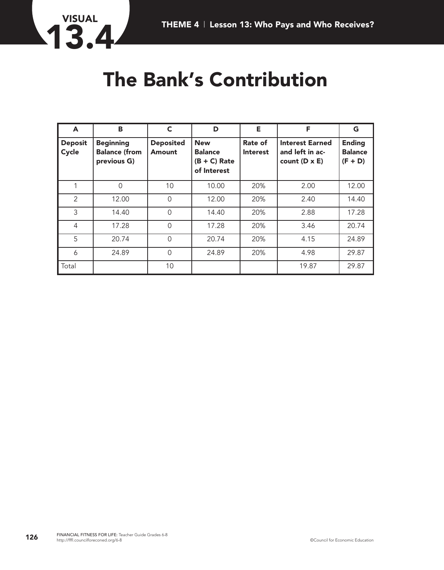

# **The Bank's Contribution**

| A                               | в                                                       | C                          | D                                                             | Е                          | F                                                                 | G                                            |
|---------------------------------|---------------------------------------------------------|----------------------------|---------------------------------------------------------------|----------------------------|-------------------------------------------------------------------|----------------------------------------------|
| <b>Deposit</b><br>$\vert$ Cycle | <b>Beginning</b><br><b>Balance (from</b><br>previous G) | <b>Deposited</b><br>Amount | <b>New</b><br><b>Balance</b><br>$(B + C)$ Rate<br>of Interest | Rate of<br><b>Interest</b> | <b>Interest Earned</b><br>and left in ac-<br>count $(D \times E)$ | <b>Ending</b><br><b>Balance</b><br>$(F + D)$ |
|                                 | $\Omega$                                                | 10                         | 10.00                                                         | 20%                        | 2.00                                                              | 12.00                                        |
| 2                               | 12.00                                                   | $\overline{0}$             | 12.00                                                         | 20%                        | 2.40                                                              | 14.40                                        |
| 3                               | 14.40                                                   | $\overline{0}$             | 14.40                                                         | 20%                        | 2.88                                                              | 17.28                                        |
| 4                               | 17.28                                                   | $\mathbf 0$                | 17.28                                                         | 20%                        | 3.46                                                              | 20.74                                        |
| 5                               | 20.74                                                   | $\overline{0}$             | 20.74                                                         | 20%                        | 4.15                                                              | 24.89                                        |
| 6                               | 24.89                                                   | 0                          | 24.89                                                         | 20%                        | 4.98                                                              | 29.87                                        |
| $\sf I$ Total                   |                                                         | 10                         |                                                               |                            | 19.87                                                             | 29.87                                        |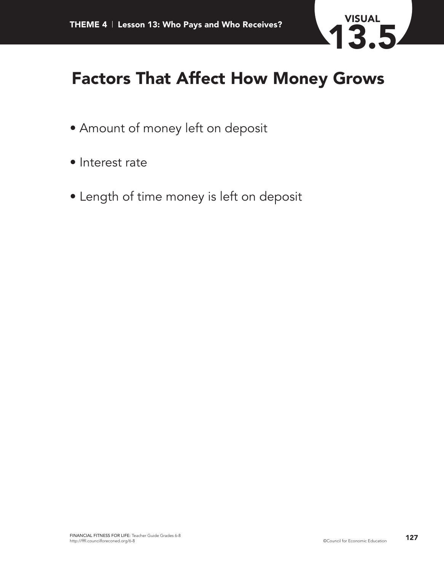

### **Factors That Affect How Money Grows**

- Amount of money left on deposit
- Interest rate
- Length of time money is left on deposit